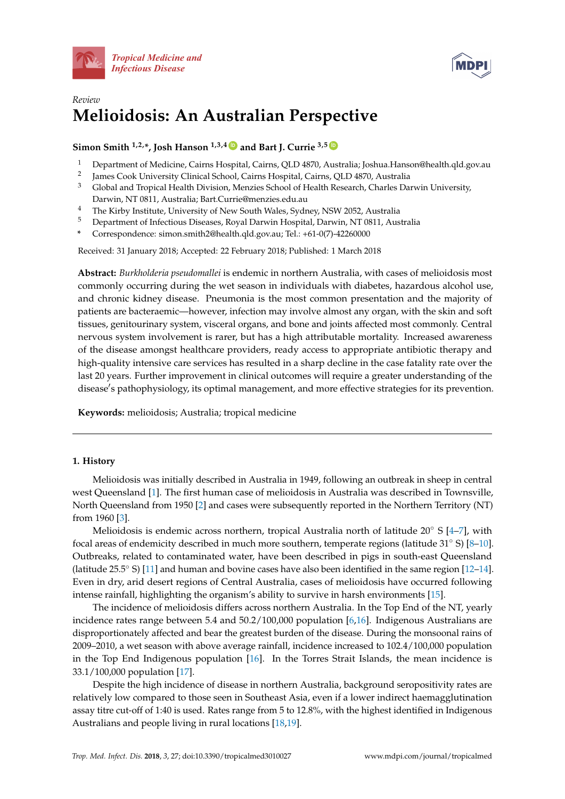



# *Review* **Melioidosis: An Australian Perspective**

**Simon Smith**  $^{1,2,*}$ , Josh Hanson  $^{1,3,4}$  **D** and Bart J. Currie  $^{3,5}$  **D** 

- <sup>1</sup> Department of Medicine, Cairns Hospital, Cairns, QLD 4870, Australia; Joshua.Hanson@health.qld.gov.au
- $\overline{2}$ James Cook University Clinical School, Cairns Hospital, Cairns, QLD 4870, Australia
- <sup>3</sup> Global and Tropical Health Division, Menzies School of Health Research, Charles Darwin University, Darwin, NT 0811, Australia; Bart.Currie@menzies.edu.au
- <sup>4</sup> The Kirby Institute, University of New South Wales, Sydney, NSW 2052, Australia
- <sup>5</sup> Department of Infectious Diseases, Royal Darwin Hospital, Darwin, NT 0811, Australia
- **\*** Correspondence: simon.smith2@health.qld.gov.au; Tel.: +61-0(7)-42260000

Received: 31 January 2018; Accepted: 22 February 2018; Published: 1 March 2018

**Abstract:** *Burkholderia pseudomallei* is endemic in northern Australia, with cases of melioidosis most commonly occurring during the wet season in individuals with diabetes, hazardous alcohol use, and chronic kidney disease. Pneumonia is the most common presentation and the majority of patients are bacteraemic—however, infection may involve almost any organ, with the skin and soft tissues, genitourinary system, visceral organs, and bone and joints affected most commonly. Central nervous system involvement is rarer, but has a high attributable mortality. Increased awareness of the disease amongst healthcare providers, ready access to appropriate antibiotic therapy and high-quality intensive care services has resulted in a sharp decline in the case fatality rate over the last 20 years. Further improvement in clinical outcomes will require a greater understanding of the disease's pathophysiology, its optimal management, and more effective strategies for its prevention.

**Keywords:** melioidosis; Australia; tropical medicine

## **1. History**

Melioidosis was initially described in Australia in 1949, following an outbreak in sheep in central west Queensland [\[1\]](#page-6-0). The first human case of melioidosis in Australia was described in Townsville, North Queensland from 1950 [\[2\]](#page-6-1) and cases were subsequently reported in the Northern Territory (NT) from 1960 [\[3\]](#page-6-2).

Melioidosis is endemic across northern, tropical Australia north of latitude 20◦ S [\[4–](#page-6-3)[7\]](#page-6-4), with focal areas of endemicity described in much more southern, temperate regions (latitude 31◦ S) [\[8–](#page-6-5)[10\]](#page-6-6). Outbreaks, related to contaminated water, have been described in pigs in south-east Queensland (latitude 25.5◦ S) [\[11\]](#page-6-7) and human and bovine cases have also been identified in the same region [\[12–](#page-6-8)[14\]](#page-6-9). Even in dry, arid desert regions of Central Australia, cases of melioidosis have occurred following intense rainfall, highlighting the organism's ability to survive in harsh environments [\[15\]](#page-6-10).

The incidence of melioidosis differs across northern Australia. In the Top End of the NT, yearly incidence rates range between 5.4 and 50.2/100,000 population [\[6,](#page-6-11)[16\]](#page-6-12). Indigenous Australians are disproportionately affected and bear the greatest burden of the disease. During the monsoonal rains of 2009–2010, a wet season with above average rainfall, incidence increased to 102.4/100,000 population in the Top End Indigenous population [\[16\]](#page-6-12). In the Torres Strait Islands, the mean incidence is 33.1/100,000 population [\[17\]](#page-6-13).

Despite the high incidence of disease in northern Australia, background seropositivity rates are relatively low compared to those seen in Southeast Asia, even if a lower indirect haemagglutination assay titre cut-off of 1:40 is used. Rates range from 5 to 12.8%, with the highest identified in Indigenous Australians and people living in rural locations [\[18](#page-6-14)[,19\]](#page-7-0).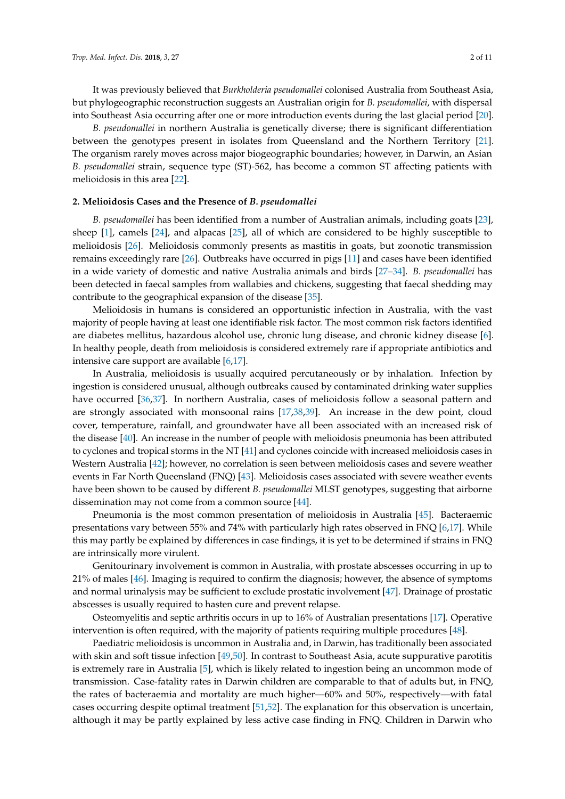It was previously believed that *Burkholderia pseudomallei* colonised Australia from Southeast Asia, but phylogeographic reconstruction suggests an Australian origin for *B. pseudomallei*, with dispersal into Southeast Asia occurring after one or more introduction events during the last glacial period [\[20\]](#page-7-1).

*B. pseudomallei* in northern Australia is genetically diverse; there is significant differentiation between the genotypes present in isolates from Queensland and the Northern Territory [\[21\]](#page-7-2). The organism rarely moves across major biogeographic boundaries; however, in Darwin, an Asian *B. pseudomallei* strain, sequence type (ST)-562, has become a common ST affecting patients with melioidosis in this area [\[22\]](#page-7-3).

## **2. Melioidosis Cases and the Presence of** *B. pseudomallei*

*B. pseudomallei* has been identified from a number of Australian animals, including goats [\[23\]](#page-7-4), sheep [\[1\]](#page-6-0), camels [\[24\]](#page-7-5), and alpacas [\[25\]](#page-7-6), all of which are considered to be highly susceptible to melioidosis [\[26\]](#page-7-7). Melioidosis commonly presents as mastitis in goats, but zoonotic transmission remains exceedingly rare [\[26\]](#page-7-7). Outbreaks have occurred in pigs [\[11\]](#page-6-7) and cases have been identified in a wide variety of domestic and native Australia animals and birds [\[27–](#page-7-8)[34\]](#page-7-9). *B. pseudomallei* has been detected in faecal samples from wallabies and chickens, suggesting that faecal shedding may contribute to the geographical expansion of the disease [\[35\]](#page-7-10).

Melioidosis in humans is considered an opportunistic infection in Australia, with the vast majority of people having at least one identifiable risk factor. The most common risk factors identified are diabetes mellitus, hazardous alcohol use, chronic lung disease, and chronic kidney disease [\[6\]](#page-6-11). In healthy people, death from melioidosis is considered extremely rare if appropriate antibiotics and intensive care support are available [\[6,](#page-6-11)[17\]](#page-6-13).

In Australia, melioidosis is usually acquired percutaneously or by inhalation. Infection by ingestion is considered unusual, although outbreaks caused by contaminated drinking water supplies have occurred [\[36](#page-7-11)[,37\]](#page-7-12). In northern Australia, cases of melioidosis follow a seasonal pattern and are strongly associated with monsoonal rains [\[17](#page-6-13)[,38](#page-7-13)[,39\]](#page-7-14). An increase in the dew point, cloud cover, temperature, rainfall, and groundwater have all been associated with an increased risk of the disease [\[40\]](#page-8-0). An increase in the number of people with melioidosis pneumonia has been attributed to cyclones and tropical storms in the NT [\[41\]](#page-8-1) and cyclones coincide with increased melioidosis cases in Western Australia [\[42\]](#page-8-2); however, no correlation is seen between melioidosis cases and severe weather events in Far North Queensland (FNQ) [\[43\]](#page-8-3). Melioidosis cases associated with severe weather events have been shown to be caused by different *B. pseudomallei* MLST genotypes, suggesting that airborne dissemination may not come from a common source [\[44\]](#page-8-4).

Pneumonia is the most common presentation of melioidosis in Australia [\[45\]](#page-8-5). Bacteraemic presentations vary between 55% and 74% with particularly high rates observed in FNQ [\[6,](#page-6-11)[17\]](#page-6-13). While this may partly be explained by differences in case findings, it is yet to be determined if strains in FNQ are intrinsically more virulent.

Genitourinary involvement is common in Australia, with prostate abscesses occurring in up to 21% of males [\[46\]](#page-8-6). Imaging is required to confirm the diagnosis; however, the absence of symptoms and normal urinalysis may be sufficient to exclude prostatic involvement [\[47\]](#page-8-7). Drainage of prostatic abscesses is usually required to hasten cure and prevent relapse.

Osteomyelitis and septic arthritis occurs in up to 16% of Australian presentations [\[17\]](#page-6-13). Operative intervention is often required, with the majority of patients requiring multiple procedures [\[48\]](#page-8-8).

Paediatric melioidosis is uncommon in Australia and, in Darwin, has traditionally been associated with skin and soft tissue infection [\[49](#page-8-9)[,50\]](#page-8-10). In contrast to Southeast Asia, acute suppurative parotitis is extremely rare in Australia [\[5\]](#page-6-15), which is likely related to ingestion being an uncommon mode of transmission. Case-fatality rates in Darwin children are comparable to that of adults but, in FNQ, the rates of bacteraemia and mortality are much higher—60% and 50%, respectively—with fatal cases occurring despite optimal treatment [\[51,](#page-8-11)[52\]](#page-8-12). The explanation for this observation is uncertain, although it may be partly explained by less active case finding in FNQ. Children in Darwin who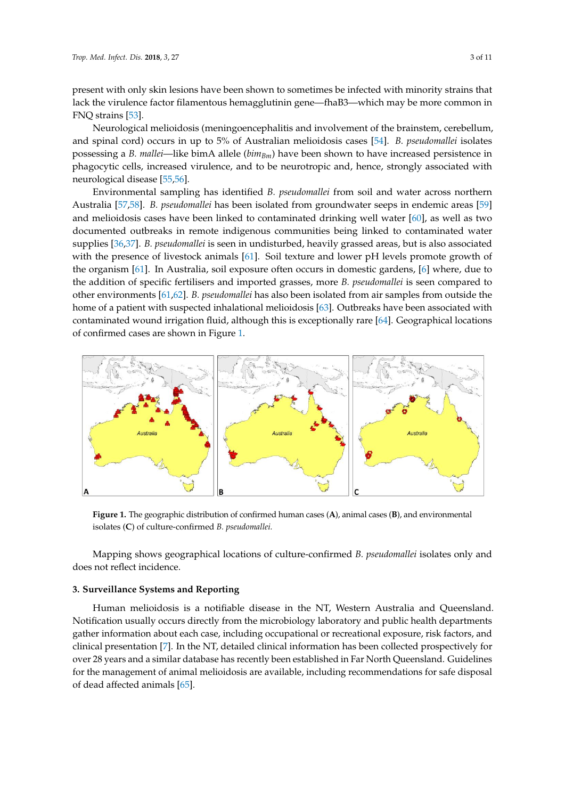present with only skin lesions have been shown to sometimes be infected with minority strains that lack the virulence factor filamentous hemagglutinin gene—fhaB3—which may be more common in lack the virulence factor filamentous hemagglutinin gene—fhaB3—which may be more common in FNQ strains [\[53\]](#page-8-13). FNQ strains [53].

Neurological melioidosis (meningoencephalitis and involvement of the brainstem, cerebellum, Neurological melioidosis (meningoencephalitis and involvement of the brainstem, and spinal cord) occurs in up to 5% of Australian melioidosis cases [\[54\]](#page-8-14). *B. pseudomallei* isolates possessing a *B. mallei*—like bimA allele ( $bim_{Bm}$ ) have been shown to have increased persistence in phagocytic cells, increased virulence, and to be neurotropic and, hence, strongly associated with neurological disease [\[55,](#page-8-15)[56\]](#page-8-16). associated with neurological disease [55,56].

Environmental sampling has identified *B. pseudomallei* from soil and water across northern Environmental sampling has identified *B. pseudomallei* from soil and water across northern Australia [\[57](#page-8-17)[,58\]](#page-8-18). *B. pseudomallei* has been isolated from groundwater seeps in endemic areas [\[59\]](#page-8-19) and melioidosis cases have been linked to contaminated drinking well water [\[60\]](#page-8-20), as well as two melioidosis cases have been linked to contaminated drinking well water [60], as well as two documented outbreaks in remote indigenous communities being linked to contaminated water documented outbreaks in remote indigenous communities being linked to contaminated water supplies [\[36,](#page-7-11)[37\]](#page-7-12). *B. pseudomallei* is seen in undisturbed, heavily grassed areas, but is also associated supplies [36,37]. *B. pseudomallei* is seen in undisturbed, heavily grassed areas, but is also associated with the presence of livestock animals [\[61\]](#page-9-0). Soil texture and lower pH levels promote growth of the organism [\[61\]](#page-9-0). In Australia, soil exposure often occurs in domestic gardens, [\[6\]](#page-6-11) where, due to the addition of specific fertilisers and imported grasses, more *B. pseudomallei* is seen compared to other environments [\[61,](#page-9-0)[62\]](#page-9-1). *B. pseudomallei* has also been isolated from air samples from outside the home of a patient with suspected inhalational melioidosis [\[63\]](#page-9-2). Outbreaks have been associated with contaminated wound irrigation fluid, although this is exceptionally rare [\[64\]](#page-9-3). Geographical locations contaminated wound irrigation fluid, although this is exceptionally rare [64]. Geographical locations of confirmed cases are shown in Figure [1.](#page-2-0) of confirmed cases are shown in Figure 1.

<span id="page-2-0"></span>

Figure 1. The geographic distribution of confirmed human cases (A), animal cases (B), and environmental isolates (C) of culture-confirmed *B. pseudomallei*.

Mapping shows geographical locations of culture-confirmed *B. pseudomallei* isolates only and Mapping shows geographical locations of culture-confirmed *B. pseudomallei* isolates only and does not reflect incidence. does not reflect incidence.

## **3. Surveillance Systems and Reporting 3. Surveillance Systems and Reporting**

Human melioidosis is a notifiable disease in the NT, Western Australia and Queensland. Human melioidosis is a notifiable disease in the NT, Western Australia and Queensland. Notification usually occurs directly from the microbiology laboratory and public health departments Notification usually occurs directly from the microbiology laboratory and public health departments gather information about each case, including occupational or recreational exposure, risk factors, and gather information about each case, including occupational or recreational exposure, risk factors, and clinical presentation [7]. In the NT, detailed clinical information has been collected prospectively for clinical presentation [\[7\]](#page-6-4). In the NT, detailed clinical information has been collected prospectively for over 28 years and a similar database has recently been established in Far North Queensland. over 28 years and a similar database has recently been established in Far North Queensland. Guidelines for the management of animal melioidosis are available, including recommendations for safe disposal of dead affected animals  $[65]$ .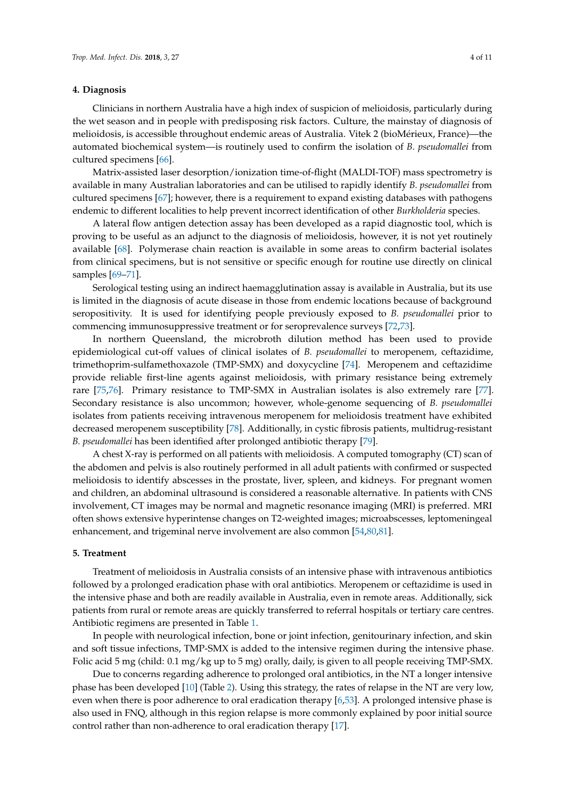#### **4. Diagnosis**

Clinicians in northern Australia have a high index of suspicion of melioidosis, particularly during the wet season and in people with predisposing risk factors. Culture, the mainstay of diagnosis of melioidosis, is accessible throughout endemic areas of Australia. Vitek 2 (bioMérieux, France)—the automated biochemical system—is routinely used to confirm the isolation of *B. pseudomallei* from cultured specimens [\[66\]](#page-9-5).

Matrix-assisted laser desorption/ionization time-of-flight (MALDI-TOF) mass spectrometry is available in many Australian laboratories and can be utilised to rapidly identify *B. pseudomallei* from cultured specimens [\[67\]](#page-9-6); however, there is a requirement to expand existing databases with pathogens endemic to different localities to help prevent incorrect identification of other *Burkholderia* species.

A lateral flow antigen detection assay has been developed as a rapid diagnostic tool, which is proving to be useful as an adjunct to the diagnosis of melioidosis, however, it is not yet routinely available [\[68\]](#page-9-7). Polymerase chain reaction is available in some areas to confirm bacterial isolates from clinical specimens, but is not sensitive or specific enough for routine use directly on clinical samples [\[69](#page-9-8)[–71\]](#page-9-9).

Serological testing using an indirect haemagglutination assay is available in Australia, but its use is limited in the diagnosis of acute disease in those from endemic locations because of background seropositivity. It is used for identifying people previously exposed to *B. pseudomallei* prior to commencing immunosuppressive treatment or for seroprevalence surveys [\[72,](#page-9-10)[73\]](#page-9-11).

In northern Queensland, the microbroth dilution method has been used to provide epidemiological cut-off values of clinical isolates of *B. pseudomallei* to meropenem, ceftazidime, trimethoprim-sulfamethoxazole (TMP-SMX) and doxycycline [\[74\]](#page-9-12). Meropenem and ceftazidime provide reliable first-line agents against melioidosis, with primary resistance being extremely rare [\[75,](#page-9-13)[76\]](#page-9-14). Primary resistance to TMP-SMX in Australian isolates is also extremely rare [\[77\]](#page-9-15). Secondary resistance is also uncommon; however, whole-genome sequencing of *B. pseudomallei* isolates from patients receiving intravenous meropenem for melioidosis treatment have exhibited decreased meropenem susceptibility [\[78\]](#page-9-16). Additionally, in cystic fibrosis patients, multidrug-resistant *B. pseudomallei* has been identified after prolonged antibiotic therapy [\[79\]](#page-10-0).

A chest X-ray is performed on all patients with melioidosis. A computed tomography (CT) scan of the abdomen and pelvis is also routinely performed in all adult patients with confirmed or suspected melioidosis to identify abscesses in the prostate, liver, spleen, and kidneys. For pregnant women and children, an abdominal ultrasound is considered a reasonable alternative. In patients with CNS involvement, CT images may be normal and magnetic resonance imaging (MRI) is preferred. MRI often shows extensive hyperintense changes on T2-weighted images; microabscesses, leptomeningeal enhancement, and trigeminal nerve involvement are also common [\[54,](#page-8-14)[80,](#page-10-1)[81\]](#page-10-2).

#### **5. Treatment**

Treatment of melioidosis in Australia consists of an intensive phase with intravenous antibiotics followed by a prolonged eradication phase with oral antibiotics. Meropenem or ceftazidime is used in the intensive phase and both are readily available in Australia, even in remote areas. Additionally, sick patients from rural or remote areas are quickly transferred to referral hospitals or tertiary care centres. Antibiotic regimens are presented in Table [1.](#page-4-0)

In people with neurological infection, bone or joint infection, genitourinary infection, and skin and soft tissue infections, TMP-SMX is added to the intensive regimen during the intensive phase. Folic acid 5 mg (child: 0.1 mg/kg up to 5 mg) orally, daily, is given to all people receiving TMP-SMX.

Due to concerns regarding adherence to prolonged oral antibiotics, in the NT a longer intensive phase has been developed [\[10\]](#page-6-6) (Table [2\)](#page-4-1). Using this strategy, the rates of relapse in the NT are very low, even when there is poor adherence to oral eradication therapy [\[6](#page-6-11)[,53\]](#page-8-13). A prolonged intensive phase is also used in FNQ, although in this region relapse is more commonly explained by poor initial source control rather than non-adherence to oral eradication therapy [\[17\]](#page-6-13).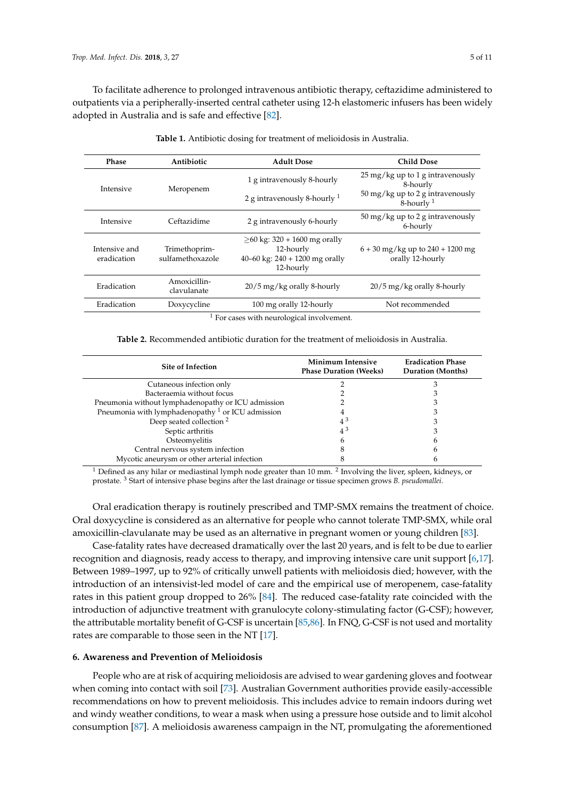To facilitate adherence to prolonged intravenous antibiotic therapy, ceftazidime administered to outpatients via a peripherally-inserted central catheter using 12-h elastomeric infusers has been widely adopted in Australia and is safe and effective [\[82\]](#page-10-3).

<span id="page-4-0"></span>

| Phase                        | Antibiotic                        | <b>Adult Dose</b>                                                                            | <b>Child Dose</b>                                             |
|------------------------------|-----------------------------------|----------------------------------------------------------------------------------------------|---------------------------------------------------------------|
| Intensive                    | Meropenem                         | 1 g intravenously 8-hourly                                                                   | $25 \,\mathrm{mg/kg}$ up to 1 g intravenously<br>8-hourly     |
|                              |                                   | 2 g intravenously 8-hourly $1$                                                               | $50 \,\mathrm{mg/kg}$ up to 2 g intravenously<br>8-hourly $1$ |
| Intensive                    | Ceftazidime                       | 2 g intravenously 6-hourly                                                                   | $50 \,\mathrm{mg/kg}$ up to 2 g intravenously<br>6-hourly     |
| Intensive and<br>eradication | Trimethoprim-<br>sulfamethoxazole | $>60$ kg: 320 + 1600 mg orally<br>12-hourly<br>40–60 kg: $240 + 1200$ mg orally<br>12-hourly | $6 + 30$ mg/kg up to $240 + 1200$ mg<br>orally 12-hourly      |
| Eradication                  | Amoxicillin-<br>clavulanate       | $20/5$ mg/kg orally 8-hourly                                                                 | $20/5$ mg/kg orally 8-hourly                                  |
| Eradication                  | Doxycycline                       | 100 mg orally 12-hourly                                                                      | Not recommended                                               |
|                              | $1 -$                             | .                                                                                            |                                                               |

| Table 1. Antibiotic dosing for treatment of melioidosis in Australia. |  |  |  |  |
|-----------------------------------------------------------------------|--|--|--|--|
|-----------------------------------------------------------------------|--|--|--|--|

<sup>1</sup> For cases with neurological involvement.

<span id="page-4-1"></span>

| <b>Site of Infection</b>                            | Minimum Intensive<br><b>Phase Duration (Weeks)</b> | <b>Eradication Phase</b><br><b>Duration</b> (Months) |
|-----------------------------------------------------|----------------------------------------------------|------------------------------------------------------|
| Cutaneous infection only                            |                                                    |                                                      |
| Bacteraemia without focus                           |                                                    |                                                      |
| Pneumonia without lymphadenopathy or ICU admission  |                                                    |                                                      |
| Pneumonia with lymphadenopathy $1$ or ICU admission |                                                    |                                                      |
| Deep seated collection <sup>2</sup>                 | $4^{\circ}$                                        |                                                      |
| Septic arthritis                                    | $4^{\circ}$                                        |                                                      |
| Osteomyelitis                                       |                                                    | n                                                    |
| Central nervous system infection                    |                                                    |                                                      |
| Mycotic aneurysm or other arterial infection        |                                                    |                                                      |

 $^1$  Defined as any hilar or mediastinal lymph node greater than 10 mm.  $^2$  Involving the liver, spleen, kidneys, or prostate. <sup>3</sup> Start of intensive phase begins after the last drainage or tissue specimen grows *B. pseudomallei*.

Oral eradication therapy is routinely prescribed and TMP-SMX remains the treatment of choice. Oral doxycycline is considered as an alternative for people who cannot tolerate TMP-SMX, while oral amoxicillin-clavulanate may be used as an alternative in pregnant women or young children [\[83\]](#page-10-4).

Case-fatality rates have decreased dramatically over the last 20 years, and is felt to be due to earlier recognition and diagnosis, ready access to therapy, and improving intensive care unit support [\[6,](#page-6-11)[17\]](#page-6-13). Between 1989–1997, up to 92% of critically unwell patients with melioidosis died; however, with the introduction of an intensivist-led model of care and the empirical use of meropenem, case-fatality rates in this patient group dropped to 26% [\[84\]](#page-10-5). The reduced case-fatality rate coincided with the introduction of adjunctive treatment with granulocyte colony-stimulating factor (G-CSF); however, the attributable mortality benefit of G-CSF is uncertain [\[85](#page-10-6)[,86\]](#page-10-7). In FNQ, G-CSF is not used and mortality rates are comparable to those seen in the NT [\[17\]](#page-6-13).

#### **6. Awareness and Prevention of Melioidosis**

People who are at risk of acquiring melioidosis are advised to wear gardening gloves and footwear when coming into contact with soil [\[73\]](#page-9-11). Australian Government authorities provide easily-accessible recommendations on how to prevent melioidosis. This includes advice to remain indoors during wet and windy weather conditions, to wear a mask when using a pressure hose outside and to limit alcohol consumption [\[87\]](#page-10-8). A melioidosis awareness campaign in the NT, promulgating the aforementioned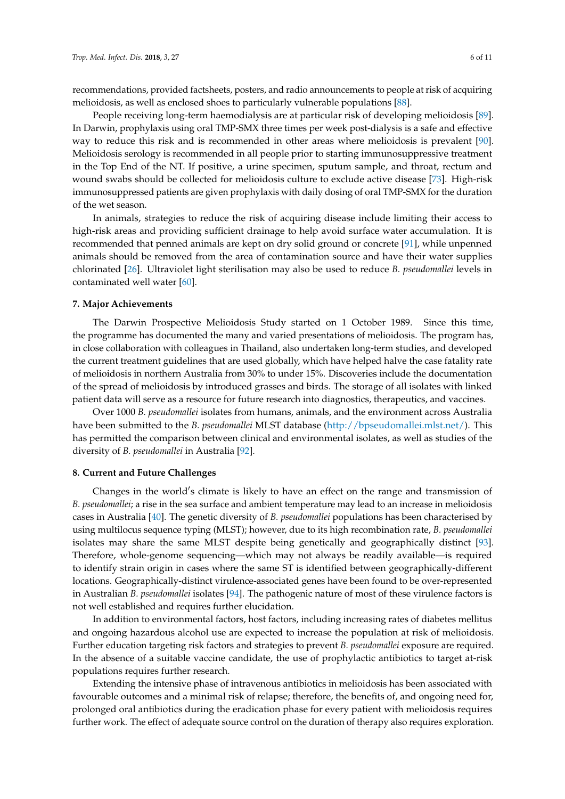recommendations, provided factsheets, posters, and radio announcements to people at risk of acquiring melioidosis, as well as enclosed shoes to particularly vulnerable populations [\[88\]](#page-10-9).

People receiving long-term haemodialysis are at particular risk of developing melioidosis [\[89\]](#page-10-10). In Darwin, prophylaxis using oral TMP-SMX three times per week post-dialysis is a safe and effective way to reduce this risk and is recommended in other areas where melioidosis is prevalent [\[90\]](#page-10-11). Melioidosis serology is recommended in all people prior to starting immunosuppressive treatment in the Top End of the NT. If positive, a urine specimen, sputum sample, and throat, rectum and wound swabs should be collected for melioidosis culture to exclude active disease [\[73\]](#page-9-11). High-risk immunosuppressed patients are given prophylaxis with daily dosing of oral TMP-SMX for the duration of the wet season.

In animals, strategies to reduce the risk of acquiring disease include limiting their access to high-risk areas and providing sufficient drainage to help avoid surface water accumulation. It is recommended that penned animals are kept on dry solid ground or concrete [\[91\]](#page-10-12), while unpenned animals should be removed from the area of contamination source and have their water supplies chlorinated [\[26\]](#page-7-7). Ultraviolet light sterilisation may also be used to reduce *B. pseudomallei* levels in contaminated well water [\[60\]](#page-8-20).

#### **7. Major Achievements**

The Darwin Prospective Melioidosis Study started on 1 October 1989. Since this time, the programme has documented the many and varied presentations of melioidosis. The program has, in close collaboration with colleagues in Thailand, also undertaken long-term studies, and developed the current treatment guidelines that are used globally, which have helped halve the case fatality rate of melioidosis in northern Australia from 30% to under 15%. Discoveries include the documentation of the spread of melioidosis by introduced grasses and birds. The storage of all isolates with linked patient data will serve as a resource for future research into diagnostics, therapeutics, and vaccines.

Over 1000 *B. pseudomallei* isolates from humans, animals, and the environment across Australia have been submitted to the *B. pseudomallei* MLST database [\(http://bpseudomallei.mlst.net/\)](http://bpseudomallei.mlst.net/). This has permitted the comparison between clinical and environmental isolates, as well as studies of the diversity of *B. pseudomallei* in Australia [\[92\]](#page-10-13).

#### **8. Current and Future Challenges**

Changes in the world's climate is likely to have an effect on the range and transmission of *B. pseudomallei*; a rise in the sea surface and ambient temperature may lead to an increase in melioidosis cases in Australia [\[40\]](#page-8-0). The genetic diversity of *B. pseudomallei* populations has been characterised by using multilocus sequence typing (MLST); however, due to its high recombination rate, *B. pseudomallei* isolates may share the same MLST despite being genetically and geographically distinct [\[93\]](#page-10-14). Therefore, whole-genome sequencing—which may not always be readily available—is required to identify strain origin in cases where the same ST is identified between geographically-different locations. Geographically-distinct virulence-associated genes have been found to be over-represented in Australian *B. pseudomallei* isolates [\[94\]](#page-10-15). The pathogenic nature of most of these virulence factors is not well established and requires further elucidation.

In addition to environmental factors, host factors, including increasing rates of diabetes mellitus and ongoing hazardous alcohol use are expected to increase the population at risk of melioidosis. Further education targeting risk factors and strategies to prevent *B. pseudomallei* exposure are required. In the absence of a suitable vaccine candidate, the use of prophylactic antibiotics to target at-risk populations requires further research.

Extending the intensive phase of intravenous antibiotics in melioidosis has been associated with favourable outcomes and a minimal risk of relapse; therefore, the benefits of, and ongoing need for, prolonged oral antibiotics during the eradication phase for every patient with melioidosis requires further work. The effect of adequate source control on the duration of therapy also requires exploration.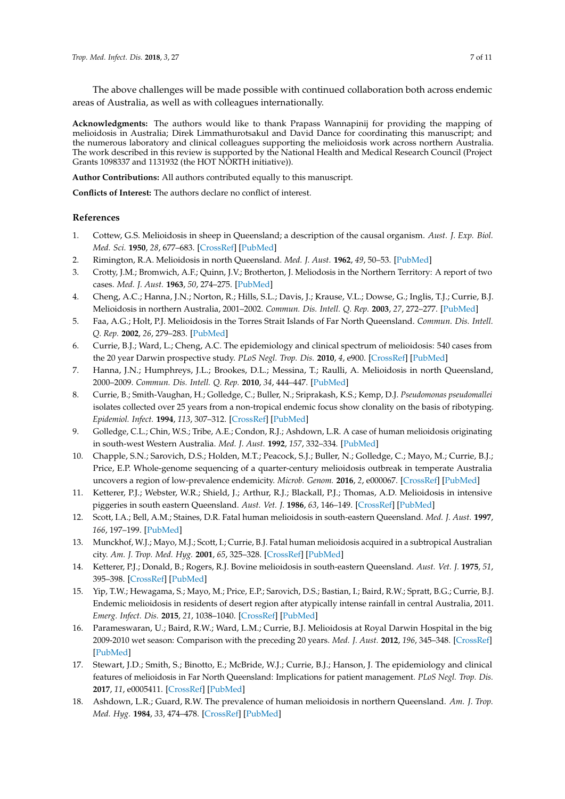The above challenges will be made possible with continued collaboration both across endemic areas of Australia, as well as with colleagues internationally.

**Acknowledgments:** The authors would like to thank Prapass Wannapinij for providing the mapping of melioidosis in Australia; Direk Limmathurotsakul and David Dance for coordinating this manuscript; and the numerous laboratory and clinical colleagues supporting the melioidosis work across northern Australia. The work described in this review is supported by the National Health and Medical Research Council (Project Grants 1098337 and 1131932 (the HOT NORTH initiative)).

**Author Contributions:** All authors contributed equally to this manuscript.

**Conflicts of Interest:** The authors declare no conflict of interest.

### **References**

- <span id="page-6-0"></span>1. Cottew, G.S. Melioidosis in sheep in Queensland; a description of the causal organism. *Aust. J. Exp. Biol. Med. Sci.* **1950**, *28*, 677–683. [\[CrossRef\]](http://dx.doi.org/10.1038/icb.1950.70) [\[PubMed\]](http://www.ncbi.nlm.nih.gov/pubmed/14838792)
- <span id="page-6-1"></span>2. Rimington, R.A. Melioidosis in north Queensland. *Med. J. Aust.* **1962**, *49*, 50–53. [\[PubMed\]](http://www.ncbi.nlm.nih.gov/pubmed/14492316)
- <span id="page-6-2"></span>3. Crotty, J.M.; Bromwich, A.F.; Quinn, J.V.; Brotherton, J. Meliodosis in the Northern Territory: A report of two cases. *Med. J. Aust.* **1963**, *50*, 274–275. [\[PubMed\]](http://www.ncbi.nlm.nih.gov/pubmed/14024017)
- <span id="page-6-3"></span>4. Cheng, A.C.; Hanna, J.N.; Norton, R.; Hills, S.L.; Davis, J.; Krause, V.L.; Dowse, G.; Inglis, T.J.; Currie, B.J. Melioidosis in northern Australia, 2001–2002. *Commun. Dis. Intell. Q. Rep.* **2003**, *27*, 272–277. [\[PubMed\]](http://www.ncbi.nlm.nih.gov/pubmed/12926743)
- <span id="page-6-15"></span>5. Faa, A.G.; Holt, P.J. Melioidosis in the Torres Strait Islands of Far North Queensland. *Commun. Dis. Intell. Q. Rep.* **2002**, *26*, 279–283. [\[PubMed\]](http://www.ncbi.nlm.nih.gov/pubmed/12206383)
- <span id="page-6-11"></span>6. Currie, B.J.; Ward, L.; Cheng, A.C. The epidemiology and clinical spectrum of melioidosis: 540 cases from the 20 year Darwin prospective study. *PLoS Negl. Trop. Dis.* **2010**, *4*, e900. [\[CrossRef\]](http://dx.doi.org/10.1371/journal.pntd.0000900) [\[PubMed\]](http://www.ncbi.nlm.nih.gov/pubmed/21152057)
- <span id="page-6-4"></span>7. Hanna, J.N.; Humphreys, J.L.; Brookes, D.L.; Messina, T.; Raulli, A. Melioidosis in north Queensland, 2000–2009. *Commun. Dis. Intell. Q. Rep.* **2010**, *34*, 444–447. [\[PubMed\]](http://www.ncbi.nlm.nih.gov/pubmed/21413530)
- <span id="page-6-5"></span>8. Currie, B.; Smith-Vaughan, H.; Golledge, C.; Buller, N.; Sriprakash, K.S.; Kemp, D.J. *Pseudomonas pseudomallei* isolates collected over 25 years from a non-tropical endemic focus show clonality on the basis of ribotyping. *Epidemiol. Infect.* **1994**, *113*, 307–312. [\[CrossRef\]](http://dx.doi.org/10.1017/S0950268800051736) [\[PubMed\]](http://www.ncbi.nlm.nih.gov/pubmed/7523158)
- 9. Golledge, C.L.; Chin, W.S.; Tribe, A.E.; Condon, R.J.; Ashdown, L.R. A case of human melioidosis originating in south-west Western Australia. *Med. J. Aust.* **1992**, *157*, 332–334. [\[PubMed\]](http://www.ncbi.nlm.nih.gov/pubmed/1279367)
- <span id="page-6-6"></span>10. Chapple, S.N.; Sarovich, D.S.; Holden, M.T.; Peacock, S.J.; Buller, N.; Golledge, C.; Mayo, M.; Currie, B.J.; Price, E.P. Whole-genome sequencing of a quarter-century melioidosis outbreak in temperate Australia uncovers a region of low-prevalence endemicity. *Microb. Genom.* **2016**, *2*, e000067. [\[CrossRef\]](http://dx.doi.org/10.1099/mgen.0.000067) [\[PubMed\]](http://www.ncbi.nlm.nih.gov/pubmed/28348862)
- <span id="page-6-7"></span>11. Ketterer, P.J.; Webster, W.R.; Shield, J.; Arthur, R.J.; Blackall, P.J.; Thomas, A.D. Melioidosis in intensive piggeries in south eastern Queensland. *Aust. Vet. J.* **1986**, *63*, 146–149. [\[CrossRef\]](http://dx.doi.org/10.1111/j.1751-0813.1986.tb02953.x) [\[PubMed\]](http://www.ncbi.nlm.nih.gov/pubmed/3753342)
- <span id="page-6-8"></span>12. Scott, I.A.; Bell, A.M.; Staines, D.R. Fatal human melioidosis in south-eastern Queensland. *Med. J. Aust.* **1997**, *166*, 197–199. [\[PubMed\]](http://www.ncbi.nlm.nih.gov/pubmed/9066549)
- 13. Munckhof, W.J.; Mayo, M.J.; Scott, I.; Currie, B.J. Fatal human melioidosis acquired in a subtropical Australian city. *Am. J. Trop. Med. Hyg.* **2001**, *65*, 325–328. [\[CrossRef\]](http://dx.doi.org/10.4269/ajtmh.2001.65.325) [\[PubMed\]](http://www.ncbi.nlm.nih.gov/pubmed/11693877)
- <span id="page-6-9"></span>14. Ketterer, P.J.; Donald, B.; Rogers, R.J. Bovine melioidosis in south-eastern Queensland. *Aust. Vet. J.* **1975**, *51*, 395–398. [\[CrossRef\]](http://dx.doi.org/10.1111/j.1751-0813.1975.tb15607.x) [\[PubMed\]](http://www.ncbi.nlm.nih.gov/pubmed/1191141)
- <span id="page-6-10"></span>15. Yip, T.W.; Hewagama, S.; Mayo, M.; Price, E.P.; Sarovich, D.S.; Bastian, I.; Baird, R.W.; Spratt, B.G.; Currie, B.J. Endemic melioidosis in residents of desert region after atypically intense rainfall in central Australia, 2011. *Emerg. Infect. Dis.* **2015**, *21*, 1038–1040. [\[CrossRef\]](http://dx.doi.org/10.3201/eid2106.141908) [\[PubMed\]](http://www.ncbi.nlm.nih.gov/pubmed/25988301)
- <span id="page-6-12"></span>16. Parameswaran, U.; Baird, R.W.; Ward, L.M.; Currie, B.J. Melioidosis at Royal Darwin Hospital in the big 2009-2010 wet season: Comparison with the preceding 20 years. *Med. J. Aust.* **2012**, *196*, 345–348. [\[CrossRef\]](http://dx.doi.org/10.5694/mja11.11170) [\[PubMed\]](http://www.ncbi.nlm.nih.gov/pubmed/22432675)
- <span id="page-6-13"></span>17. Stewart, J.D.; Smith, S.; Binotto, E.; McBride, W.J.; Currie, B.J.; Hanson, J. The epidemiology and clinical features of melioidosis in Far North Queensland: Implications for patient management. *PLoS Negl. Trop. Dis.* **2017**, *11*, e0005411. [\[CrossRef\]](http://dx.doi.org/10.1371/journal.pntd.0005411) [\[PubMed\]](http://www.ncbi.nlm.nih.gov/pubmed/28264029)
- <span id="page-6-14"></span>18. Ashdown, L.R.; Guard, R.W. The prevalence of human melioidosis in northern Queensland. *Am. J. Trop. Med. Hyg.* **1984**, *33*, 474–478. [\[CrossRef\]](http://dx.doi.org/10.4269/ajtmh.1984.33.474) [\[PubMed\]](http://www.ncbi.nlm.nih.gov/pubmed/6731680)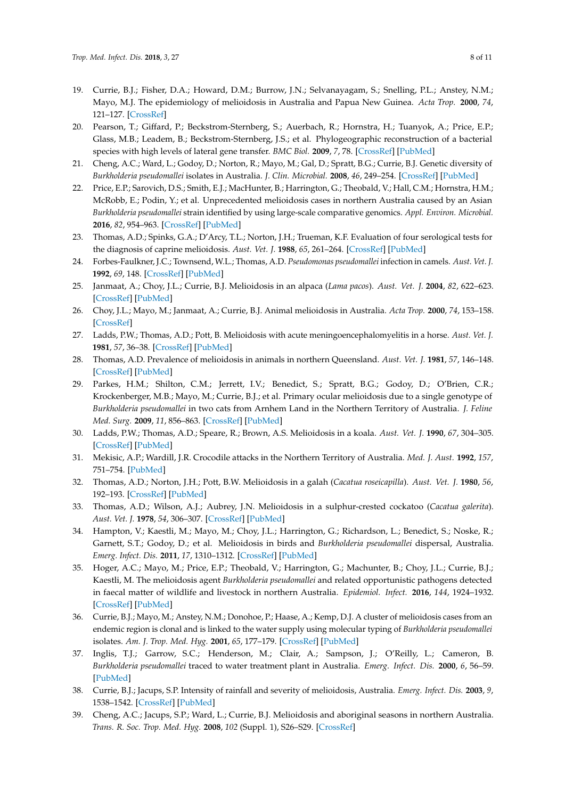- <span id="page-7-0"></span>19. Currie, B.J.; Fisher, D.A.; Howard, D.M.; Burrow, J.N.; Selvanayagam, S.; Snelling, P.L.; Anstey, N.M.; Mayo, M.J. The epidemiology of melioidosis in Australia and Papua New Guinea. *Acta Trop.* **2000**, *74*, 121–127. [\[CrossRef\]](http://dx.doi.org/10.1016/S0001-706X(99)00060-1)
- <span id="page-7-1"></span>20. Pearson, T.; Giffard, P.; Beckstrom-Sternberg, S.; Auerbach, R.; Hornstra, H.; Tuanyok, A.; Price, E.P.; Glass, M.B.; Leadem, B.; Beckstrom-Sternberg, J.S.; et al. Phylogeographic reconstruction of a bacterial species with high levels of lateral gene transfer. *BMC Biol.* **2009**, *7*, 78. [\[CrossRef\]](http://dx.doi.org/10.1186/1741-7007-7-78) [\[PubMed\]](http://www.ncbi.nlm.nih.gov/pubmed/19922616)
- <span id="page-7-2"></span>21. Cheng, A.C.; Ward, L.; Godoy, D.; Norton, R.; Mayo, M.; Gal, D.; Spratt, B.G.; Currie, B.J. Genetic diversity of *Burkholderia pseudomallei* isolates in Australia. *J. Clin. Microbial.* **2008**, *46*, 249–254. [\[CrossRef\]](http://dx.doi.org/10.1128/JCM.01725-07) [\[PubMed\]](http://www.ncbi.nlm.nih.gov/pubmed/18003806)
- <span id="page-7-3"></span>22. Price, E.P.; Sarovich, D.S.; Smith, E.J.; MacHunter, B.; Harrington, G.; Theobald, V.; Hall, C.M.; Hornstra, H.M.; McRobb, E.; Podin, Y.; et al. Unprecedented melioidosis cases in northern Australia caused by an Asian *Burkholderia pseudomallei* strain identified by using large-scale comparative genomics. *Appl. Environ. Microbial.* **2016**, *82*, 954–963. [\[CrossRef\]](http://dx.doi.org/10.1128/AEM.03013-15) [\[PubMed\]](http://www.ncbi.nlm.nih.gov/pubmed/26607593)
- <span id="page-7-4"></span>23. Thomas, A.D.; Spinks, G.A.; D'Arcy, T.L.; Norton, J.H.; Trueman, K.F. Evaluation of four serological tests for the diagnosis of caprine melioidosis. *Aust. Vet. J.* **1988**, *65*, 261–264. [\[CrossRef\]](http://dx.doi.org/10.1111/j.1751-0813.1988.tb16138.x) [\[PubMed\]](http://www.ncbi.nlm.nih.gov/pubmed/3190597)
- <span id="page-7-5"></span>24. Forbes-Faulkner, J.C.; Townsend, W.L.; Thomas, A.D. *Pseudomonas pseudomallei* infection in camels. *Aust. Vet. J.* **1992**, *69*, 148. [\[CrossRef\]](http://dx.doi.org/10.1111/j.1751-0813.1992.tb07492.x) [\[PubMed\]](http://www.ncbi.nlm.nih.gov/pubmed/1642603)
- <span id="page-7-6"></span>25. Janmaat, A.; Choy, J.L.; Currie, B.J. Melioidosis in an alpaca (*Lama pacos*). *Aust. Vet. J.* **2004**, *82*, 622–623. [\[CrossRef\]](http://dx.doi.org/10.1111/j.1751-0813.2004.tb12607.x) [\[PubMed\]](http://www.ncbi.nlm.nih.gov/pubmed/15887386)
- <span id="page-7-7"></span>26. Choy, J.L.; Mayo, M.; Janmaat, A.; Currie, B.J. Animal melioidosis in Australia. *Acta Trop.* **2000**, *74*, 153–158. [\[CrossRef\]](http://dx.doi.org/10.1016/S0001-706X(99)00065-0)
- <span id="page-7-8"></span>27. Ladds, P.W.; Thomas, A.D.; Pott, B. Melioidosis with acute meningoencephalomyelitis in a horse. *Aust. Vet. J.* **1981**, *57*, 36–38. [\[CrossRef\]](http://dx.doi.org/10.1111/j.1751-0813.1981.tb07082.x) [\[PubMed\]](http://www.ncbi.nlm.nih.gov/pubmed/7236143)
- 28. Thomas, A.D. Prevalence of melioidosis in animals in northern Queensland. *Aust. Vet. J.* **1981**, *57*, 146–148. [\[CrossRef\]](http://dx.doi.org/10.1111/j.1751-0813.1981.tb00494.x) [\[PubMed\]](http://www.ncbi.nlm.nih.gov/pubmed/7259663)
- 29. Parkes, H.M.; Shilton, C.M.; Jerrett, I.V.; Benedict, S.; Spratt, B.G.; Godoy, D.; O'Brien, C.R.; Krockenberger, M.B.; Mayo, M.; Currie, B.J.; et al. Primary ocular melioidosis due to a single genotype of *Burkholderia pseudomallei* in two cats from Arnhem Land in the Northern Territory of Australia. *J. Feline Med. Surg.* **2009**, *11*, 856–863. [\[CrossRef\]](http://dx.doi.org/10.1016/j.jfms.2009.02.009) [\[PubMed\]](http://www.ncbi.nlm.nih.gov/pubmed/19428280)
- 30. Ladds, P.W.; Thomas, A.D.; Speare, R.; Brown, A.S. Melioidosis in a koala. *Aust. Vet. J.* **1990**, *67*, 304–305. [\[CrossRef\]](http://dx.doi.org/10.1111/j.1751-0813.1990.tb07804.x) [\[PubMed\]](http://www.ncbi.nlm.nih.gov/pubmed/2222378)
- 31. Mekisic, A.P.; Wardill, J.R. Crocodile attacks in the Northern Territory of Australia. *Med. J. Aust.* **1992**, *157*, 751–754. [\[PubMed\]](http://www.ncbi.nlm.nih.gov/pubmed/1453999)
- 32. Thomas, A.D.; Norton, J.H.; Pott, B.W. Melioidosis in a galah (*Cacatua roseicapilla*). *Aust. Vet. J.* **1980**, *56*, 192–193. [\[CrossRef\]](http://dx.doi.org/10.1111/j.1751-0813.1980.tb05680.x) [\[PubMed\]](http://www.ncbi.nlm.nih.gov/pubmed/7436921)
- 33. Thomas, A.D.; Wilson, A.J.; Aubrey, J.N. Melioidosis in a sulphur-crested cockatoo (*Cacatua galerita*). *Aust. Vet. J.* **1978**, *54*, 306–307. [\[CrossRef\]](http://dx.doi.org/10.1111/j.1751-0813.1978.tb02466.x) [\[PubMed\]](http://www.ncbi.nlm.nih.gov/pubmed/687299)
- <span id="page-7-9"></span>34. Hampton, V.; Kaestli, M.; Mayo, M.; Choy, J.L.; Harrington, G.; Richardson, L.; Benedict, S.; Noske, R.; Garnett, S.T.; Godoy, D.; et al. Melioidosis in birds and *Burkholderia pseudomallei* dispersal, Australia. *Emerg. Infect. Dis.* **2011**, *17*, 1310–1312. [\[CrossRef\]](http://dx.doi.org/10.3201/eid1707.100707) [\[PubMed\]](http://www.ncbi.nlm.nih.gov/pubmed/21762599)
- <span id="page-7-10"></span>35. Hoger, A.C.; Mayo, M.; Price, E.P.; Theobald, V.; Harrington, G.; Machunter, B.; Choy, J.L.; Currie, B.J.; Kaestli, M. The melioidosis agent *Burkholderia pseudomallei* and related opportunistic pathogens detected in faecal matter of wildlife and livestock in northern Australia. *Epidemiol. Infect.* **2016**, *144*, 1924–1932. [\[CrossRef\]](http://dx.doi.org/10.1017/S0950268816000285) [\[PubMed\]](http://www.ncbi.nlm.nih.gov/pubmed/26935879)
- <span id="page-7-11"></span>36. Currie, B.J.; Mayo, M.; Anstey, N.M.; Donohoe, P.; Haase, A.; Kemp, D.J. A cluster of melioidosis cases from an endemic region is clonal and is linked to the water supply using molecular typing of *Burkholderia pseudomallei* isolates. *Am. J. Trop. Med. Hyg.* **2001**, *65*, 177–179. [\[CrossRef\]](http://dx.doi.org/10.4269/ajtmh.2001.65.177) [\[PubMed\]](http://www.ncbi.nlm.nih.gov/pubmed/11561699)
- <span id="page-7-12"></span>37. Inglis, T.J.; Garrow, S.C.; Henderson, M.; Clair, A.; Sampson, J.; O'Reilly, L.; Cameron, B. *Burkholderia pseudomallei* traced to water treatment plant in Australia. *Emerg. Infect. Dis.* **2000**, *6*, 56–59. [\[PubMed\]](http://www.ncbi.nlm.nih.gov/pubmed/10653571)
- <span id="page-7-13"></span>38. Currie, B.J.; Jacups, S.P. Intensity of rainfall and severity of melioidosis, Australia. *Emerg. Infect. Dis.* **2003**, *9*, 1538–1542. [\[CrossRef\]](http://dx.doi.org/10.3201/eid0912.020750) [\[PubMed\]](http://www.ncbi.nlm.nih.gov/pubmed/14720392)
- <span id="page-7-14"></span>39. Cheng, A.C.; Jacups, S.P.; Ward, L.; Currie, B.J. Melioidosis and aboriginal seasons in northern Australia. *Trans. R. Soc. Trop. Med. Hyg.* **2008**, *102* (Suppl. 1), S26–S29. [\[CrossRef\]](http://dx.doi.org/10.1016/S0035-9203(08)70008-7)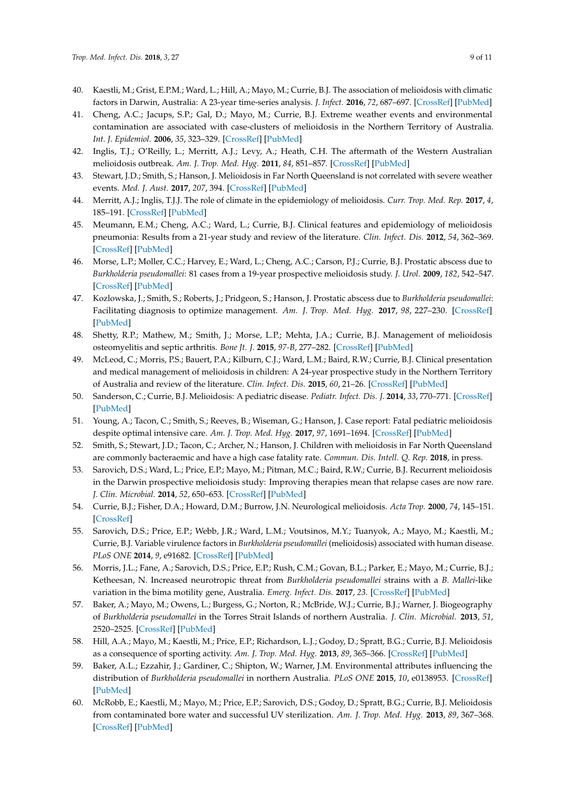- <span id="page-8-0"></span>40. Kaestli, M.; Grist, E.P.M.; Ward, L.; Hill, A.; Mayo, M.; Currie, B.J. The association of melioidosis with climatic factors in Darwin, Australia: A 23-year time-series analysis. *J. Infect.* **2016**, *72*, 687–697. [\[CrossRef\]](http://dx.doi.org/10.1016/j.jinf.2016.02.015) [\[PubMed\]](http://www.ncbi.nlm.nih.gov/pubmed/26945846)
- <span id="page-8-1"></span>41. Cheng, A.C.; Jacups, S.P.; Gal, D.; Mayo, M.; Currie, B.J. Extreme weather events and environmental contamination are associated with case-clusters of melioidosis in the Northern Territory of Australia. *Int. J. Epidemiol.* **2006**, *35*, 323–329. [\[CrossRef\]](http://dx.doi.org/10.1093/ije/dyi271) [\[PubMed\]](http://www.ncbi.nlm.nih.gov/pubmed/16326823)
- <span id="page-8-2"></span>42. Inglis, T.J.; O'Reilly, L.; Merritt, A.J.; Levy, A.; Heath, C.H. The aftermath of the Western Australian melioidosis outbreak. *Am. J. Trop. Med. Hyg.* **2011**, *84*, 851–857. [\[CrossRef\]](http://dx.doi.org/10.4269/ajtmh.2011.10-0480) [\[PubMed\]](http://www.ncbi.nlm.nih.gov/pubmed/21633018)
- <span id="page-8-3"></span>43. Stewart, J.D.; Smith, S.; Hanson, J. Melioidosis in Far North Queensland is not correlated with severe weather events. *Med. J. Aust.* **2017**, *207*, 394. [\[CrossRef\]](http://dx.doi.org/10.5694/mja16.01332) [\[PubMed\]](http://www.ncbi.nlm.nih.gov/pubmed/29092705)
- <span id="page-8-4"></span>44. Merritt, A.J.; Inglis, T.J.J. The role of climate in the epidemiology of melioidosis. *Curr. Trop. Med. Rep.* **2017**, *4*, 185–191. [\[CrossRef\]](http://dx.doi.org/10.1007/s40475-017-0124-4) [\[PubMed\]](http://www.ncbi.nlm.nih.gov/pubmed/29188170)
- <span id="page-8-5"></span>45. Meumann, E.M.; Cheng, A.C.; Ward, L.; Currie, B.J. Clinical features and epidemiology of melioidosis pneumonia: Results from a 21-year study and review of the literature. *Clin. Infect. Dis.* **2012**, *54*, 362–369. [\[CrossRef\]](http://dx.doi.org/10.1093/cid/cir808) [\[PubMed\]](http://www.ncbi.nlm.nih.gov/pubmed/22057702)
- <span id="page-8-6"></span>46. Morse, L.P.; Moller, C.C.; Harvey, E.; Ward, L.; Cheng, A.C.; Carson, P.J.; Currie, B.J. Prostatic abscess due to *Burkholderia pseudomallei*: 81 cases from a 19-year prospective melioidosis study. *J. Urol.* **2009**, *182*, 542–547. [\[CrossRef\]](http://dx.doi.org/10.1016/j.juro.2009.04.010) [\[PubMed\]](http://www.ncbi.nlm.nih.gov/pubmed/19524969)
- <span id="page-8-7"></span>47. Kozlowska, J.; Smith, S.; Roberts, J.; Pridgeon, S.; Hanson, J. Prostatic abscess due to *Burkholderia pseudomallei*: Facilitating diagnosis to optimize management. *Am. J. Trop. Med. Hyg.* **2017**, *98*, 227–230. [\[CrossRef\]](http://dx.doi.org/10.4269/ajtmh.17-0633) [\[PubMed\]](http://www.ncbi.nlm.nih.gov/pubmed/29141724)
- <span id="page-8-8"></span>48. Shetty, R.P.; Mathew, M.; Smith, J.; Morse, L.P.; Mehta, J.A.; Currie, B.J. Management of melioidosis osteomyelitis and septic arthritis. *Bone Jt. J.* **2015**, *97-B*, 277–282. [\[CrossRef\]](http://dx.doi.org/10.1302/0301-620X.97B2.34799) [\[PubMed\]](http://www.ncbi.nlm.nih.gov/pubmed/25628295)
- <span id="page-8-9"></span>49. McLeod, C.; Morris, P.S.; Bauert, P.A.; Kilburn, C.J.; Ward, L.M.; Baird, R.W.; Currie, B.J. Clinical presentation and medical management of melioidosis in children: A 24-year prospective study in the Northern Territory of Australia and review of the literature. *Clin. Infect. Dis.* **2015**, *60*, 21–26. [\[CrossRef\]](http://dx.doi.org/10.1093/cid/ciu733) [\[PubMed\]](http://www.ncbi.nlm.nih.gov/pubmed/25228703)
- <span id="page-8-10"></span>50. Sanderson, C.; Currie, B.J. Melioidosis: A pediatric disease. *Pediatr. Infect. Dis. J.* **2014**, *33*, 770–771. [\[CrossRef\]](http://dx.doi.org/10.1097/INF.0000000000000358) [\[PubMed\]](http://www.ncbi.nlm.nih.gov/pubmed/24732448)
- <span id="page-8-11"></span>51. Young, A.; Tacon, C.; Smith, S.; Reeves, B.; Wiseman, G.; Hanson, J. Case report: Fatal pediatric melioidosis despite optimal intensive care. *Am. J. Trop. Med. Hyg.* **2017**, *97*, 1691–1694. [\[CrossRef\]](http://dx.doi.org/10.4269/ajtmh.17-0650) [\[PubMed\]](http://www.ncbi.nlm.nih.gov/pubmed/29016313)
- <span id="page-8-12"></span>52. Smith, S.; Stewart, J.D.; Tacon, C.; Archer, N.; Hanson, J. Children with melioidosis in Far North Queensland are commonly bacteraemic and have a high case fatality rate. *Commun. Dis. Intell. Q. Rep.* **2018**, in press.
- <span id="page-8-13"></span>53. Sarovich, D.S.; Ward, L.; Price, E.P.; Mayo, M.; Pitman, M.C.; Baird, R.W.; Currie, B.J. Recurrent melioidosis in the Darwin prospective melioidosis study: Improving therapies mean that relapse cases are now rare. *J. Clin. Microbial.* **2014**, *52*, 650–653. [\[CrossRef\]](http://dx.doi.org/10.1128/JCM.02239-13) [\[PubMed\]](http://www.ncbi.nlm.nih.gov/pubmed/24478504)
- <span id="page-8-14"></span>54. Currie, B.J.; Fisher, D.A.; Howard, D.M.; Burrow, J.N. Neurological melioidosis. *Acta Trop.* **2000**, *74*, 145–151. [\[CrossRef\]](http://dx.doi.org/10.1016/S0001-706X(99)00064-9)
- <span id="page-8-15"></span>55. Sarovich, D.S.; Price, E.P.; Webb, J.R.; Ward, L.M.; Voutsinos, M.Y.; Tuanyok, A.; Mayo, M.; Kaestli, M.; Currie, B.J. Variable virulence factors in *Burkholderia pseudomallei* (melioidosis) associated with human disease. *PLoS ONE* **2014**, *9*, e91682. [\[CrossRef\]](http://dx.doi.org/10.1371/journal.pone.0091682) [\[PubMed\]](http://www.ncbi.nlm.nih.gov/pubmed/24618705)
- <span id="page-8-16"></span>56. Morris, J.L.; Fane, A.; Sarovich, D.S.; Price, E.P.; Rush, C.M.; Govan, B.L.; Parker, E.; Mayo, M.; Currie, B.J.; Ketheesan, N. Increased neurotropic threat from *Burkholderia pseudomallei* strains with a *B. Mallei*-like variation in the bima motility gene, Australia. *Emerg. Infect. Dis.* **2017**, *23*. [\[CrossRef\]](http://dx.doi.org/10.3201/eid2305.151417) [\[PubMed\]](http://www.ncbi.nlm.nih.gov/pubmed/28418830)
- <span id="page-8-17"></span>57. Baker, A.; Mayo, M.; Owens, L.; Burgess, G.; Norton, R.; McBride, W.J.; Currie, B.J.; Warner, J. Biogeography of *Burkholderia pseudomallei* in the Torres Strait Islands of northern Australia. *J. Clin. Microbial.* **2013**, *51*, 2520–2525. [\[CrossRef\]](http://dx.doi.org/10.1128/JCM.00418-13) [\[PubMed\]](http://www.ncbi.nlm.nih.gov/pubmed/23698533)
- <span id="page-8-18"></span>58. Hill, A.A.; Mayo, M.; Kaestli, M.; Price, E.P.; Richardson, L.J.; Godoy, D.; Spratt, B.G.; Currie, B.J. Melioidosis as a consequence of sporting activity. *Am. J. Trop. Med. Hyg.* **2013**, *89*, 365–366. [\[CrossRef\]](http://dx.doi.org/10.4269/ajtmh.12-0744) [\[PubMed\]](http://www.ncbi.nlm.nih.gov/pubmed/23732257)
- <span id="page-8-19"></span>59. Baker, A.L.; Ezzahir, J.; Gardiner, C.; Shipton, W.; Warner, J.M. Environmental attributes influencing the distribution of *Burkholderia pseudomallei* in northern Australia. *PLoS ONE* **2015**, *10*, e0138953. [\[CrossRef\]](http://dx.doi.org/10.1371/journal.pone.0138953) [\[PubMed\]](http://www.ncbi.nlm.nih.gov/pubmed/26398904)
- <span id="page-8-20"></span>60. McRobb, E.; Kaestli, M.; Mayo, M.; Price, E.P.; Sarovich, D.S.; Godoy, D.; Spratt, B.G.; Currie, B.J. Melioidosis from contaminated bore water and successful UV sterilization. *Am. J. Trop. Med. Hyg.* **2013**, *89*, 367–368. [\[CrossRef\]](http://dx.doi.org/10.4269/ajtmh.13-0101) [\[PubMed\]](http://www.ncbi.nlm.nih.gov/pubmed/23751401)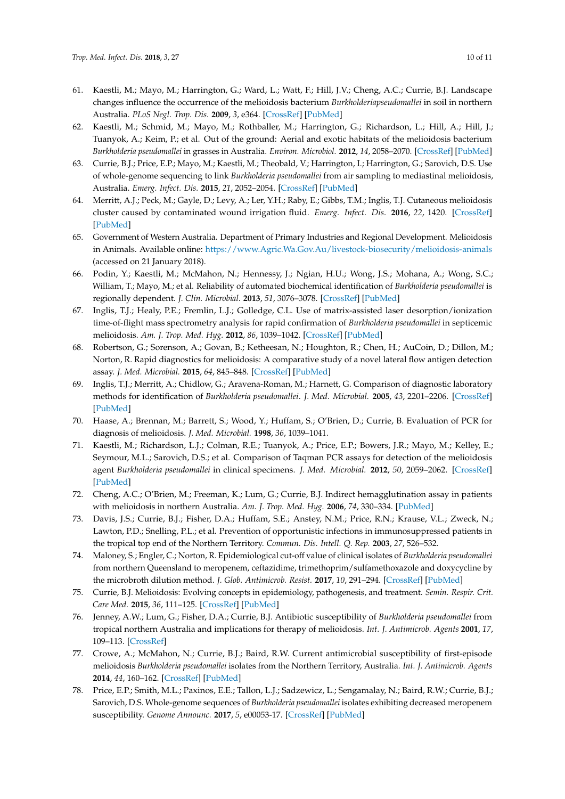- <span id="page-9-0"></span>61. Kaestli, M.; Mayo, M.; Harrington, G.; Ward, L.; Watt, F.; Hill, J.V.; Cheng, A.C.; Currie, B.J. Landscape changes influence the occurrence of the melioidosis bacterium *Burkholderiapseudomallei* in soil in northern Australia. *PLoS Negl. Trop. Dis.* **2009**, *3*, e364. [\[CrossRef\]](http://dx.doi.org/10.1371/journal.pntd.0000364) [\[PubMed\]](http://www.ncbi.nlm.nih.gov/pubmed/19156200)
- <span id="page-9-1"></span>62. Kaestli, M.; Schmid, M.; Mayo, M.; Rothballer, M.; Harrington, G.; Richardson, L.; Hill, A.; Hill, J.; Tuanyok, A.; Keim, P.; et al. Out of the ground: Aerial and exotic habitats of the melioidosis bacterium *Burkholderia pseudomallei* in grasses in Australia. *Environ. Microbiol.* **2012**, *14*, 2058–2070. [\[CrossRef\]](http://dx.doi.org/10.1111/j.1462-2920.2011.02671.x) [\[PubMed\]](http://www.ncbi.nlm.nih.gov/pubmed/22176696)
- <span id="page-9-2"></span>63. Currie, B.J.; Price, E.P.; Mayo, M.; Kaestli, M.; Theobald, V.; Harrington, I.; Harrington, G.; Sarovich, D.S. Use of whole-genome sequencing to link *Burkholderia pseudomallei* from air sampling to mediastinal melioidosis, Australia. *Emerg. Infect. Dis.* **2015**, *21*, 2052–2054. [\[CrossRef\]](http://dx.doi.org/10.3201/eid2111.141802) [\[PubMed\]](http://www.ncbi.nlm.nih.gov/pubmed/26488732)
- <span id="page-9-3"></span>64. Merritt, A.J.; Peck, M.; Gayle, D.; Levy, A.; Ler, Y.H.; Raby, E.; Gibbs, T.M.; Inglis, T.J. Cutaneous melioidosis cluster caused by contaminated wound irrigation fluid. *Emerg. Infect. Dis.* **2016**, *22*, 1420. [\[CrossRef\]](http://dx.doi.org/10.3201/eid2208.151149) [\[PubMed\]](http://www.ncbi.nlm.nih.gov/pubmed/27438887)
- <span id="page-9-4"></span>65. Government of Western Australia. Department of Primary Industries and Regional Development. Melioidosis in Animals. Available online: <https://www.Agric.Wa.Gov.Au/livestock-biosecurity/melioidosis-animals> (accessed on 21 January 2018).
- <span id="page-9-5"></span>66. Podin, Y.; Kaestli, M.; McMahon, N.; Hennessy, J.; Ngian, H.U.; Wong, J.S.; Mohana, A.; Wong, S.C.; William, T.; Mayo, M.; et al. Reliability of automated biochemical identification of *Burkholderia pseudomallei* is regionally dependent. *J. Clin. Microbial.* **2013**, *51*, 3076–3078. [\[CrossRef\]](http://dx.doi.org/10.1128/JCM.01290-13) [\[PubMed\]](http://www.ncbi.nlm.nih.gov/pubmed/23784129)
- <span id="page-9-6"></span>67. Inglis, T.J.; Healy, P.E.; Fremlin, L.J.; Golledge, C.L. Use of matrix-assisted laser desorption/ionization time-of-flight mass spectrometry analysis for rapid confirmation of *Burkholderia pseudomallei* in septicemic melioidosis. *Am. J. Trop. Med. Hyg.* **2012**, *86*, 1039–1042. [\[CrossRef\]](http://dx.doi.org/10.4269/ajtmh.2012.11-0454) [\[PubMed\]](http://www.ncbi.nlm.nih.gov/pubmed/22665614)
- <span id="page-9-7"></span>68. Robertson, G.; Sorenson, A.; Govan, B.; Ketheesan, N.; Houghton, R.; Chen, H.; AuCoin, D.; Dillon, M.; Norton, R. Rapid diagnostics for melioidosis: A comparative study of a novel lateral flow antigen detection assay. *J. Med. Microbial.* **2015**, *64*, 845–848. [\[CrossRef\]](http://dx.doi.org/10.1099/jmm.0.000098) [\[PubMed\]](http://www.ncbi.nlm.nih.gov/pubmed/26055557)
- <span id="page-9-8"></span>69. Inglis, T.J.; Merritt, A.; Chidlow, G.; Aravena-Roman, M.; Harnett, G. Comparison of diagnostic laboratory methods for identification of *Burkholderia pseudomallei*. *J. Med. Microbial.* **2005**, *43*, 2201–2206. [\[CrossRef\]](http://dx.doi.org/10.1128/JCM.43.5.2201-2206.2005) [\[PubMed\]](http://www.ncbi.nlm.nih.gov/pubmed/15872242)
- 70. Haase, A.; Brennan, M.; Barrett, S.; Wood, Y.; Huffam, S.; O'Brien, D.; Currie, B. Evaluation of PCR for diagnosis of melioidosis. *J. Med. Microbial.* **1998**, *36*, 1039–1041.
- <span id="page-9-9"></span>71. Kaestli, M.; Richardson, L.J.; Colman, R.E.; Tuanyok, A.; Price, E.P.; Bowers, J.R.; Mayo, M.; Kelley, E.; Seymour, M.L.; Sarovich, D.S.; et al. Comparison of Taqman PCR assays for detection of the melioidosis agent *Burkholderia pseudomallei* in clinical specimens. *J. Med. Microbial.* **2012**, *50*, 2059–2062. [\[CrossRef\]](http://dx.doi.org/10.1128/JCM.06737-11) [\[PubMed\]](http://www.ncbi.nlm.nih.gov/pubmed/22442327)
- <span id="page-9-10"></span>72. Cheng, A.C.; O'Brien, M.; Freeman, K.; Lum, G.; Currie, B.J. Indirect hemagglutination assay in patients with melioidosis in northern Australia. *Am. J. Trop. Med. Hyg.* **2006**, *74*, 330–334. [\[PubMed\]](http://www.ncbi.nlm.nih.gov/pubmed/16474092)
- <span id="page-9-11"></span>73. Davis, J.S.; Currie, B.J.; Fisher, D.A.; Huffam, S.E.; Anstey, N.M.; Price, R.N.; Krause, V.L.; Zweck, N.; Lawton, P.D.; Snelling, P.L.; et al. Prevention of opportunistic infections in immunosuppressed patients in the tropical top end of the Northern Territory. *Commun. Dis. Intell. Q. Rep.* **2003**, *27*, 526–532.
- <span id="page-9-12"></span>74. Maloney, S.; Engler, C.; Norton, R. Epidemiological cut-off value of clinical isolates of *Burkholderia pseudomallei* from northern Queensland to meropenem, ceftazidime, trimethoprim/sulfamethoxazole and doxycycline by the microbroth dilution method. *J. Glob. Antimicrob. Resist.* **2017**, *10*, 291–294. [\[CrossRef\]](http://dx.doi.org/10.1016/j.jgar.2017.04.012) [\[PubMed\]](http://www.ncbi.nlm.nih.gov/pubmed/28729203)
- <span id="page-9-13"></span>75. Currie, B.J. Melioidosis: Evolving concepts in epidemiology, pathogenesis, and treatment. *Semin. Respir. Crit. Care Med.* **2015**, *36*, 111–125. [\[CrossRef\]](http://dx.doi.org/10.1055/s-0034-1398389) [\[PubMed\]](http://www.ncbi.nlm.nih.gov/pubmed/25643275)
- <span id="page-9-14"></span>76. Jenney, A.W.; Lum, G.; Fisher, D.A.; Currie, B.J. Antibiotic susceptibility of *Burkholderia pseudomallei* from tropical northern Australia and implications for therapy of melioidosis. *Int. J. Antimicrob. Agents* **2001**, *17*, 109–113. [\[CrossRef\]](http://dx.doi.org/10.1016/S0924-8579(00)00334-4)
- <span id="page-9-15"></span>77. Crowe, A.; McMahon, N.; Currie, B.J.; Baird, R.W. Current antimicrobial susceptibility of first-episode melioidosis *Burkholderia pseudomallei* isolates from the Northern Territory, Australia. *Int. J. Antimicrob. Agents* **2014**, *44*, 160–162. [\[CrossRef\]](http://dx.doi.org/10.1016/j.ijantimicag.2014.04.012) [\[PubMed\]](http://www.ncbi.nlm.nih.gov/pubmed/24924662)
- <span id="page-9-16"></span>78. Price, E.P.; Smith, M.L.; Paxinos, E.E.; Tallon, L.J.; Sadzewicz, L.; Sengamalay, N.; Baird, R.W.; Currie, B.J.; Sarovich, D.S. Whole-genome sequences of *Burkholderia pseudomallei* isolates exhibiting decreased meropenem susceptibility. *Genome Announc.* **2017**, *5*, e00053-17. [\[CrossRef\]](http://dx.doi.org/10.1128/genomeA.00053-17) [\[PubMed\]](http://www.ncbi.nlm.nih.gov/pubmed/28385830)